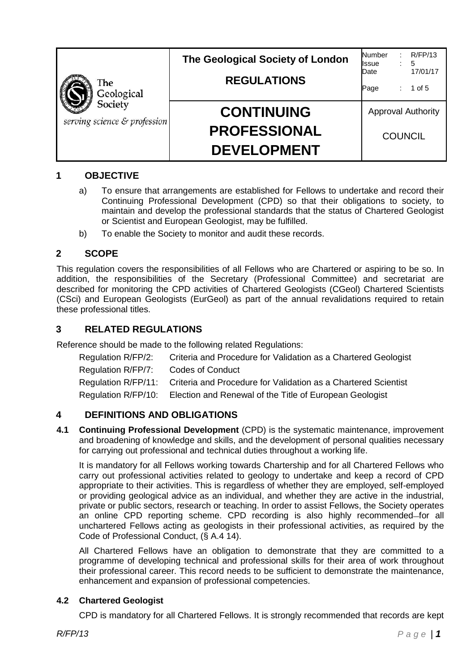| The<br>Geological                       | The Geological Society of London          | R/FP/13<br>Number<br>5<br><b>I</b> ssue<br>17/01/17<br>Date |  |
|-----------------------------------------|-------------------------------------------|-------------------------------------------------------------|--|
|                                         | <b>REGULATIONS</b>                        | 1 of $5$<br>Page                                            |  |
| Society<br>serving science & profession | <b>CONTINUING</b>                         | <b>Approval Authority</b>                                   |  |
|                                         | <b>PROFESSIONAL</b><br><b>DEVELOPMENT</b> | <b>COUNCIL</b>                                              |  |

# **1 OBJECTIVE**

- a) To ensure that arrangements are established for Fellows to undertake and record their Continuing Professional Development (CPD) so that their obligations to society, to maintain and develop the professional standards that the status of Chartered Geologist or Scientist and European Geologist, may be fulfilled.
- b) To enable the Society to monitor and audit these records.

## **2 SCOPE**

This regulation covers the responsibilities of all Fellows who are Chartered or aspiring to be so. In addition, the responsibilities of the Secretary (Professional Committee) and secretariat are described for monitoring the CPD activities of Chartered Geologists (CGeol) Chartered Scientists (CSci) and European Geologists (EurGeol) as part of the annual revalidations required to retain these professional titles.

## **3 RELATED REGULATIONS**

Reference should be made to the following related Regulations:

| Criteria and Procedure for Validation as a Chartered Geologist                     |
|------------------------------------------------------------------------------------|
| Codes of Conduct                                                                   |
| Regulation R/FP/11: Criteria and Procedure for Validation as a Chartered Scientist |
| Regulation R/FP/10: Election and Renewal of the Title of European Geologist        |
|                                                                                    |

# **4 DEFINITIONS AND OBLIGATIONS**

**4.1 Continuing Professional Development** (CPD) is the systematic maintenance, improvement and broadening of knowledge and skills, and the development of personal qualities necessary for carrying out professional and technical duties throughout a working life.

It is mandatory for all Fellows working towards Chartership and for all Chartered Fellows who carry out professional activities related to geology to undertake and keep a record of CPD appropriate to their activities. This is regardless of whether they are employed, self-employed or providing geological advice as an individual, and whether they are active in the industrial, private or public sectors, research or teaching. In order to assist Fellows, the Society operates an online CPD reporting scheme. CPD recording is also highly recommended–for all unchartered Fellows acting as geologists in their professional activities, as required by the Code of Professional Conduct, (§ A.4 14).

All Chartered Fellows have an obligation to demonstrate that they are committed to a programme of developing technical and professional skills for their area of work throughout their professional career. This record needs to be sufficient to demonstrate the maintenance, enhancement and expansion of professional competencies.

#### **4.2 Chartered Geologist**

CPD is mandatory for all Chartered Fellows. It is strongly recommended that records are kept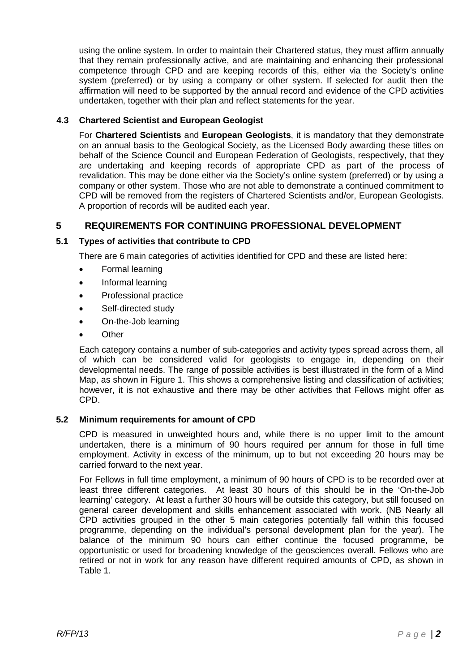using the online system. In order to maintain their Chartered status, they must affirm annually that they remain professionally active, and are maintaining and enhancing their professional competence through CPD and are keeping records of this, either via the Society's online system (preferred) or by using a company or other system. If selected for audit then the affirmation will need to be supported by the annual record and evidence of the CPD activities undertaken, together with their plan and reflect statements for the year.

# **4.3 Chartered Scientist and European Geologist**

For **Chartered Scientists** and **European Geologists**, it is mandatory that they demonstrate on an annual basis to the Geological Society, as the Licensed Body awarding these titles on behalf of the Science Council and European Federation of Geologists, respectively, that they are undertaking and keeping records of appropriate CPD as part of the process of revalidation. This may be done either via the Society's online system (preferred) or by using a company or other system. Those who are not able to demonstrate a continued commitment to CPD will be removed from the registers of Chartered Scientists and/or, European Geologists. A proportion of records will be audited each year.

# **5 REQUIREMENTS FOR CONTINUING PROFESSIONAL DEVELOPMENT**

# **5.1 Types of activities that contribute to CPD**

There are 6 main categories of activities identified for CPD and these are listed here:

- Formal learning
- Informal learning
- Professional practice
- Self-directed study
- On-the-Job learning
- **Other**

Each category contains a number of sub-categories and activity types spread across them, all of which can be considered valid for geologists to engage in, depending on their developmental needs. The range of possible activities is best illustrated in the form of a Mind Map, as shown in Figure 1. This shows a comprehensive listing and classification of activities; however, it is not exhaustive and there may be other activities that Fellows might offer as CPD.

#### **5.2 Minimum requirements for amount of CPD**

CPD is measured in unweighted hours and, while there is no upper limit to the amount undertaken, there is a minimum of 90 hours required per annum for those in full time employment. Activity in excess of the minimum, up to but not exceeding 20 hours may be carried forward to the next year.

For Fellows in full time employment, a minimum of 90 hours of CPD is to be recorded over at least three different categories. At least 30 hours of this should be in the 'On-the-Job learning' category. At least a further 30 hours will be outside this category, but still focused on general career development and skills enhancement associated with work. (NB Nearly all CPD activities grouped in the other 5 main categories potentially fall within this focused programme, depending on the individual's personal development plan for the year). The balance of the minimum 90 hours can either continue the focused programme, be opportunistic or used for broadening knowledge of the geosciences overall. Fellows who are retired or not in work for any reason have different required amounts of CPD, as shown in Table 1.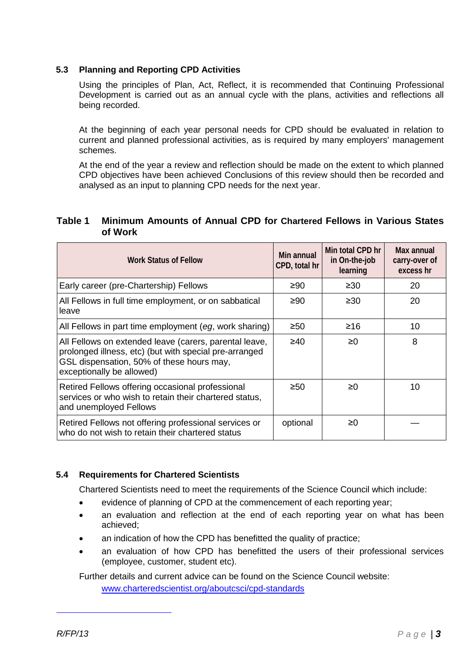#### **5.3 Planning and Reporting CPD Activities**

Using the principles of Plan, Act, Reflect, it is recommended that Continuing Professional Development is carried out as an annual cycle with the plans, activities and reflections all being recorded.

At the beginning of each year personal needs for CPD should be evaluated in relation to current and planned professional activities, as is required by many employers' management schemes.

At the end of the year a review and reflection should be made on the extent to which planned CPD objectives have been achieved Conclusions of this review should then be recorded and analysed as an input to planning CPD needs for the next year.

#### **Table 1 Minimum Amounts of Annual CPD for Chartered Fellows in Various States of Work**

| <b>Work Status of Fellow</b>                                                                                                                                                               | Min annual<br>CPD, total hr | Min total CPD hr<br>in On-the-job<br>learning | Max annual<br>carry-over of<br>excess hr |
|--------------------------------------------------------------------------------------------------------------------------------------------------------------------------------------------|-----------------------------|-----------------------------------------------|------------------------------------------|
| Early career (pre-Chartership) Fellows                                                                                                                                                     | ≥90                         | $\geq 30$                                     | 20                                       |
| All Fellows in full time employment, or on sabbatical<br>leave                                                                                                                             | ≥90                         | $\geq 30$                                     | 20                                       |
| All Fellows in part time employment (eg, work sharing)                                                                                                                                     | $\geq 50$                   | ≥16                                           | 10                                       |
| All Fellows on extended leave (carers, parental leave,<br>prolonged illness, etc) (but with special pre-arranged<br>GSL dispensation, 50% of these hours may,<br>exceptionally be allowed) | ≥40                         | $\geq 0$                                      | 8                                        |
| Retired Fellows offering occasional professional<br>services or who wish to retain their chartered status,<br>and unemployed Fellows                                                       | $\geq 50$                   | ≥0                                            | 10                                       |
| Retired Fellows not offering professional services or<br>who do not wish to retain their chartered status                                                                                  | optional                    | ≥0                                            |                                          |

#### **5.4 Requirements for Chartered Scientists**

Chartered Scientists need to meet the requirements of the Science Council which include:

- evidence of planning of CPD at the commencement of each reporting year;
- an evaluation and reflection at the end of each reporting year on what has been achieved;
- an indication of how the CPD has benefitted the quality of practice;
- an evaluation of how CPD has benefitted the users of their professional services (employee, customer, student etc).

Further details and current advice can be found on the Science Council website: [www.charteredscientist.org/aboutcsci/cpd-standards](http://www.charteredscientist.org/aboutcsci/cpd-standards)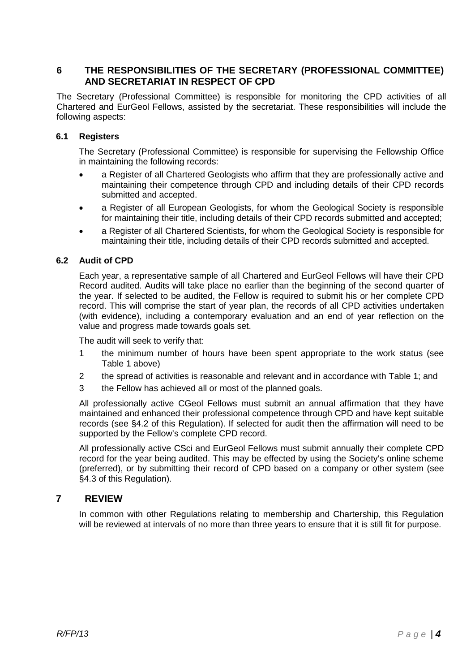# **6 THE RESPONSIBILITIES OF THE SECRETARY (PROFESSIONAL COMMITTEE) AND SECRETARIAT IN RESPECT OF CPD**

The Secretary (Professional Committee) is responsible for monitoring the CPD activities of all Chartered and EurGeol Fellows, assisted by the secretariat. These responsibilities will include the following aspects:

#### **6.1 Registers**

The Secretary (Professional Committee) is responsible for supervising the Fellowship Office in maintaining the following records:

- a Register of all Chartered Geologists who affirm that they are professionally active and maintaining their competence through CPD and including details of their CPD records submitted and accepted.
- a Register of all European Geologists, for whom the Geological Society is responsible for maintaining their title, including details of their CPD records submitted and accepted;
- a Register of all Chartered Scientists, for whom the Geological Society is responsible for maintaining their title, including details of their CPD records submitted and accepted.

#### **6.2 Audit of CPD**

Each year, a representative sample of all Chartered and EurGeol Fellows will have their CPD Record audited. Audits will take place no earlier than the beginning of the second quarter of the year. If selected to be audited, the Fellow is required to submit his or her complete CPD record. This will comprise the start of year plan, the records of all CPD activities undertaken (with evidence), including a contemporary evaluation and an end of year reflection on the value and progress made towards goals set.

The audit will seek to verify that:

- 1 the minimum number of hours have been spent appropriate to the work status (see Table 1 above)
- 2 the spread of activities is reasonable and relevant and in accordance with Table 1; and
- 3 the Fellow has achieved all or most of the planned goals.

All professionally active CGeol Fellows must submit an annual affirmation that they have maintained and enhanced their professional competence through CPD and have kept suitable records (see §4.2 of this Regulation). If selected for audit then the affirmation will need to be supported by the Fellow's complete CPD record.

All professionally active CSci and EurGeol Fellows must submit annually their complete CPD record for the year being audited. This may be effected by using the Society's online scheme (preferred), or by submitting their record of CPD based on a company or other system (see §4.3 of this Regulation).

#### **7 REVIEW**

In common with other Regulations relating to membership and Chartership, this Regulation will be reviewed at intervals of no more than three years to ensure that it is still fit for purpose.